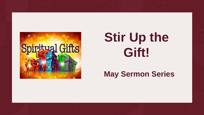

# **Stir Up the Gift!**

#### **May Sermon Series**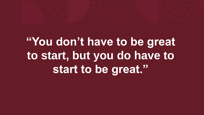# **"You don't have to be great to start, but you do have to start to be great."**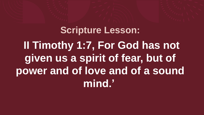#### **Scripture Lesson: II Timothy 1:7, For God has not given us a spirit of fear, but of power and of love and of a sound mind.'**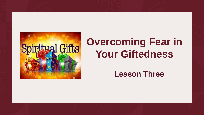

#### **Overcoming Fear in Your Giftedness**

#### **Lesson Three**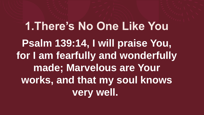**1.There's No One Like You Psalm 139:14, I will praise You, for I am fearfully and wonderfully made; Marvelous are Your works, and that my soul knows very well.**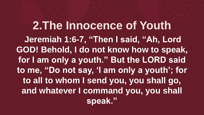#### **2.The Innocence of Youth**

**Jeremiah 1:6-7, "Then I said, "Ah, Lord GOD! Behold, I do not know how to speak, for I am only a youth." But the LORD said to me, "Do not say, 'I am only a youth'; for to all to whom I send you, you shall go, and whatever I command you, you shall speak."**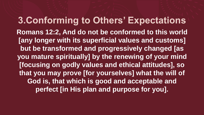**3.Conforming to Others' Expectations Romans 12:2, And do not be conformed to this world [any longer with its superficial values and customs] but be transformed and progressively changed [as you mature spiritually] by the renewing of your mind [focusing on godly values and ethical attitudes], so that you may prove [for yourselves] what the will of God is, that which is good and acceptable and perfect [in His plan and purpose for you].**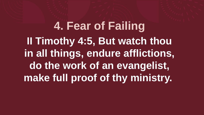**4. Fear of Failing II Timothy 4:5, But watch thou in all things, endure afflictions, do the work of an evangelist, make full proof of thy ministry.**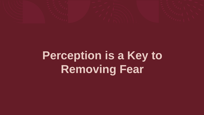

### **Perception is a Key to Removing Fear**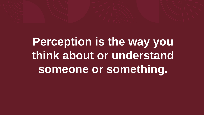# **Perception is the way you think about or understand someone or something.**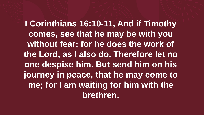**I Corinthians 16:10-11, And if Timothy comes, see that he may be with you without fear; for he does the work of the Lord, as I also do. Therefore let no one despise him. But send him on his journey in peace, that he may come to me; for I am waiting for him with the brethren.**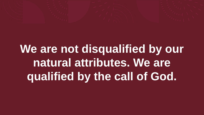

**We are not disqualified by our natural attributes. We are qualified by the call of God.**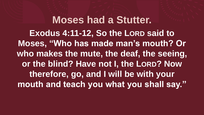**Moses had a Stutter. Exodus 4:11-12, So the LORD said to Moses, "Who has made man's mouth? Or who makes the mute, the deaf, the seeing, or the blind? Have not I, the LORD? Now therefore, go, and I will be with your mouth and teach you what you shall say."**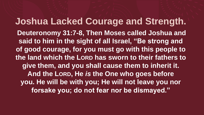**Joshua Lacked Courage and Strength. Deuteronomy 31:7-8, Then Moses called Joshua and said to him in the sight of all Israel, "Be strong and of good courage, for you must go with this people to the land which the LORD has sworn to their fathers to give them, and you shall cause them to inherit it. And the LORD, He** *is* **the One who goes before you. He will be with you; He will not leave you nor forsake you; do not fear nor be dismayed."**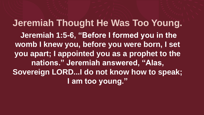**Jeremiah Thought He Was Too Young. Jeremiah 1:5-6, "Before I formed you in the womb I knew you, before you were born, I set you apart; I appointed you as a prophet to the nations." Jeremiah answered, "Alas, Sovereign LORD...I do not know how to speak; I am too young."**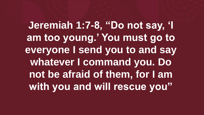**Jeremiah 1:7-8, "Do not say, 'I am too young.' You must go to everyone I send you to and say whatever I command you. Do not be afraid of them, for I am with you and will rescue you"**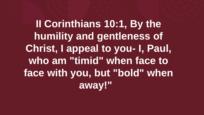**II Corinthians 10:1, By the humility and gentleness of Christ, I appeal to you- I, Paul, who am "timid" when face to face with you, but "bold" when away!"**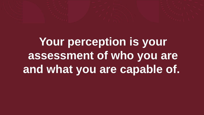# **Your perception is your assessment of who you are and what you are capable of.**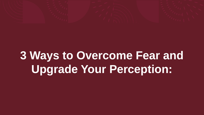

# **3 Ways to Overcome Fear and Upgrade Your Perception:**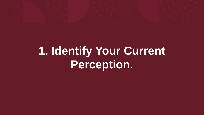

## **1. Identify Your Current Perception.**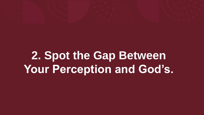

### **2. Spot the Gap Between Your Perception and God's.**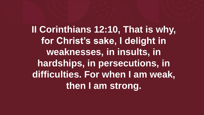**II Corinthians 12:10, That is why, for Christ's sake, I delight in weaknesses, in insults, in hardships, in persecutions, in difficulties. For when I am weak, then I am strong.**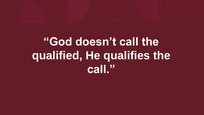# **"God doesn't call the qualified, He qualifies the call."**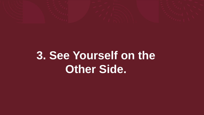

#### **3. See Yourself on the Other Side.**